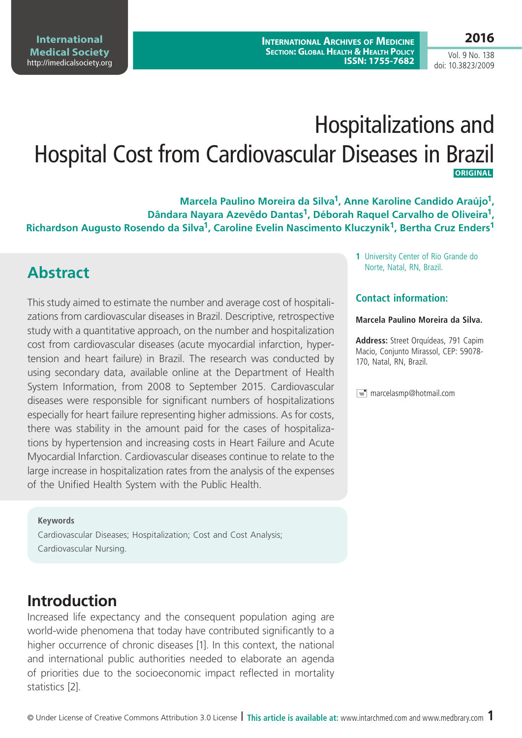Vol. 9 No. 138 doi: 10.3823/2009

# Hospitalizations and Hospital Cost from Cardiovascular Diseases in Brazil **ORIGINAL**

**Marcela Paulino Moreira da Silva1, Anne Karoline Candido Araújo1, Dândara Nayara Azevêdo Dantas1, Déborah Raquel Carvalho de Oliveira1, Richardson Augusto Rosendo da Silva1, Caroline Evelin Nascimento Kluczynik1, Bertha Cruz Enders1**

## **Abstract**

This study aimed to estimate the number and average cost of hospitalizations from cardiovascular diseases in Brazil. Descriptive, retrospective study with a quantitative approach, on the number and hospitalization cost from cardiovascular diseases (acute myocardial infarction, hypertension and heart failure) in Brazil. The research was conducted by using secondary data, available online at the Department of Health System Information, from 2008 to September 2015. Cardiovascular diseases were responsible for significant numbers of hospitalizations especially for heart failure representing higher admissions. As for costs, there was stability in the amount paid for the cases of hospitalizations by hypertension and increasing costs in Heart Failure and Acute Myocardial Infarction. Cardiovascular diseases continue to relate to the large increase in hospitalization rates from the analysis of the expenses of the Unified Health System with the Public Health.

#### **Keywords**

Cardiovascular Diseases; Hospitalization; Cost and Cost Analysis; Cardiovascular Nursing.

### **Introduction**

Increased life expectancy and the consequent population aging are world-wide phenomena that today have contributed significantly to a higher occurrence of chronic diseases [1]. In this context, the national and international public authorities needed to elaborate an agenda of priorities due to the socioeconomic impact reflected in mortality statistics [2].

**1** University Center of Rio Grande do Norte, Natal, RN, Brazil.

#### **Contact information:**

#### **Marcela Paulino Moreira da Silva.**

**Address:** Street Orquídeas, 791 Capim Macio, Conjunto Mirassol, CEP: 59078- 170, Natal, RN, Brazil.

 $\equiv$  marcelasmp@hotmail.com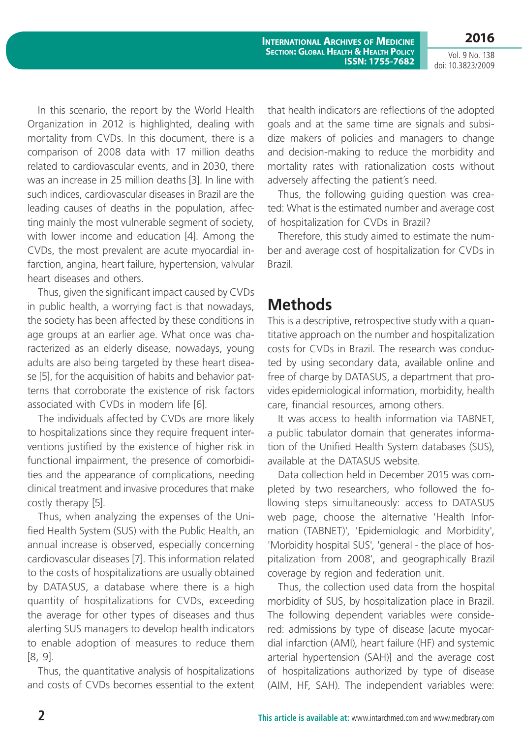Vol. 9 No. 138 doi: 10.3823/2009

**2016**

**International Archives of Medicine Section: Global Health & Health Policy ISSN: 1755-7682**

In this scenario, the report by the World Health Organization in 2012 is highlighted, dealing with mortality from CVDs. In this document, there is a comparison of 2008 data with 17 million deaths related to cardiovascular events, and in 2030, there was an increase in 25 million deaths [3]. In line with such indices, cardiovascular diseases in Brazil are the leading causes of deaths in the population, affecting mainly the most vulnerable segment of society, with lower income and education [4]. Among the CVDs, the most prevalent are acute myocardial infarction, angina, heart failure, hypertension, valvular heart diseases and others.

Thus, given the significant impact caused by CVDs in public health, a worrying fact is that nowadays, the society has been affected by these conditions in age groups at an earlier age. What once was characterized as an elderly disease, nowadays, young adults are also being targeted by these heart disease [5], for the acquisition of habits and behavior patterns that corroborate the existence of risk factors associated with CVDs in modern life [6].

The individuals affected by CVDs are more likely to hospitalizations since they require frequent interventions justified by the existence of higher risk in functional impairment, the presence of comorbidities and the appearance of complications, needing clinical treatment and invasive procedures that make costly therapy [5].

Thus, when analyzing the expenses of the Unified Health System (SUS) with the Public Health, an annual increase is observed, especially concerning cardiovascular diseases [7]. This information related to the costs of hospitalizations are usually obtained by DATASUS, a database where there is a high quantity of hospitalizations for CVDs, exceeding the average for other types of diseases and thus alerting SUS managers to develop health indicators to enable adoption of measures to reduce them [8, 9].

Thus, the quantitative analysis of hospitalizations and costs of CVDs becomes essential to the extent that health indicators are reflections of the adopted goals and at the same time are signals and subsidize makers of policies and managers to change and decision-making to reduce the morbidity and mortality rates with rationalization costs without adversely affecting the patient´s need.

Thus, the following guiding question was created: What is the estimated number and average cost of hospitalization for CVDs in Brazil?

Therefore, this study aimed to estimate the number and average cost of hospitalization for CVDs in Brazil.

## **Methods**

This is a descriptive, retrospective study with a quantitative approach on the number and hospitalization costs for CVDs in Brazil. The research was conducted by using secondary data, available online and free of charge by DATASUS, a department that provides epidemiological information, morbidity, health care, financial resources, among others.

It was access to health information via TABNET, a public tabulator domain that generates information of the Unified Health System databases (SUS), available at the DATASUS website.

Data collection held in December 2015 was completed by two researchers, who followed the following steps simultaneously: access to DATASUS web page, choose the alternative 'Health Information (TABNET)', 'Epidemiologic and Morbidity', 'Morbidity hospital SUS', 'general - the place of hospitalization from 2008', and geographically Brazil coverage by region and federation unit.

Thus, the collection used data from the hospital morbidity of SUS, by hospitalization place in Brazil. The following dependent variables were considered: admissions by type of disease [acute myocardial infarction (AMI), heart failure (HF) and systemic arterial hypertension (SAH)] and the average cost of hospitalizations authorized by type of disease (AIM, HF, SAH). The independent variables were: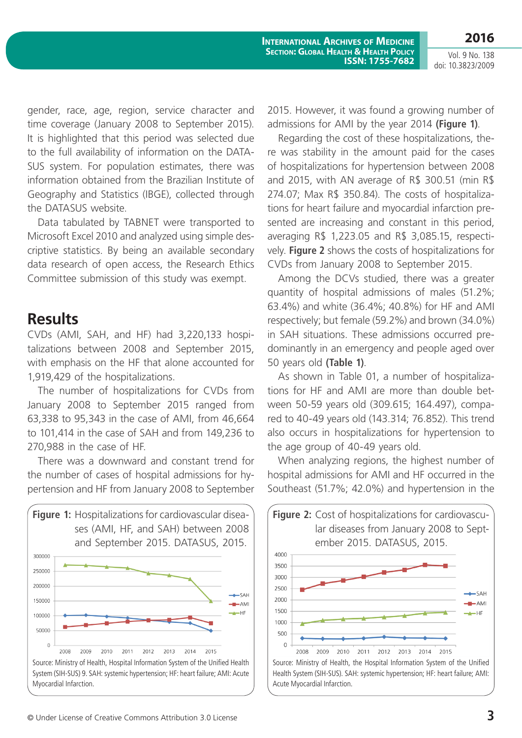**2016**

Vol. 9 No. 138 doi: 10.3823/2009

gender, race, age, region, service character and time coverage (January 2008 to September 2015). It is highlighted that this period was selected due to the full availability of information on the DATA-SUS system. For population estimates, there was information obtained from the Brazilian Institute of Geography and Statistics (IBGE), collected through the DATASUS website.

Data tabulated by TABNET were transported to Microsoft Excel 2010 and analyzed using simple descriptive statistics. By being an available secondary data research of open access, the Research Ethics Committee submission of this study was exempt.

#### **Results**

CVDs (AMI, SAH, and HF) had 3,220,133 hospitalizations between 2008 and September 2015, with emphasis on the HF that alone accounted for 1,919,429 of the hospitalizations.

The number of hospitalizations for CVDs from January 2008 to September 2015 ranged from 63,338 to 95,343 in the case of AMI, from 46,664 to 101,414 in the case of SAH and from 149,236 to 270,988 in the case of HF.

There was a downward and constant trend for the number of cases of hospital admissions for hypertension and HF from January 2008 to September



2015. However, it was found a growing number of admissions for AMI by the year 2014 **(Figure 1)**.

Regarding the cost of these hospitalizations, there was stability in the amount paid for the cases of hospitalizations for hypertension between 2008 and 2015, with AN average of R\$ 300.51 (min R\$ 274.07; Max R\$ 350.84). The costs of hospitalizations for heart failure and myocardial infarction presented are increasing and constant in this period, averaging R\$ 1,223.05 and R\$ 3,085.15, respectively. **Figure 2** shows the costs of hospitalizations for CVDs from January 2008 to September 2015.

Among the DCVs studied, there was a greater quantity of hospital admissions of males (51.2%; 63.4%) and white (36.4%; 40.8%) for HF and AMI respectively; but female (59.2%) and brown (34.0%) in SAH situations. These admissions occurred predominantly in an emergency and people aged over 50 years old **(Table 1)**.

As shown in Table 01, a number of hospitalizations for HF and AMI are more than double between 50-59 years old (309.615; 164.497), compared to 40-49 years old (143.314; 76.852). This trend also occurs in hospitalizations for hypertension to the age group of 40-49 years old.

When analyzing regions, the highest number of hospital admissions for AMI and HF occurred in the Southeast (51.7%; 42.0%) and hypertension in the



Source: Ministry of Health, the Hospital Information System of the Unified Health System (SIH-SUS). SAH: systemic hypertension; HF: heart failure; AMI: Acute Myocardial Infarction.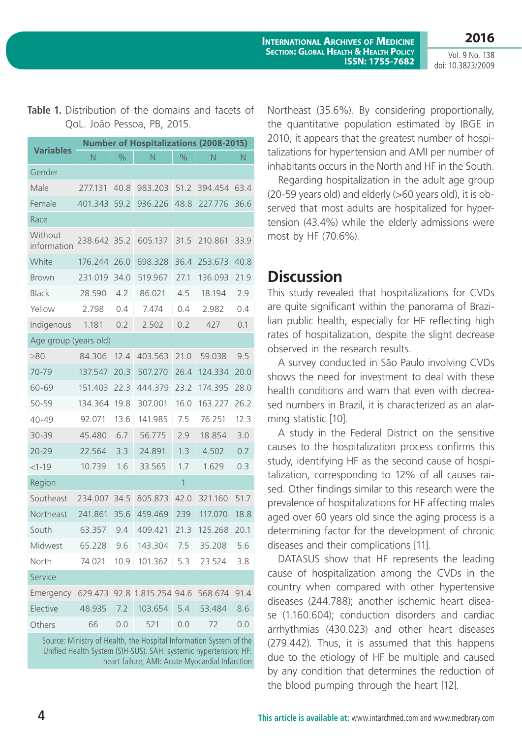**2016** Vol. 9 No. 138

doi: 10.3823/2009

#### **Table 1.** Distribution of the domains and facets of QoL. João Pessoa, PB, 2015.

| <b>Variables</b>       | <b>Number of Hospitalizations (2008-2015)</b> |               |                |      |         |      |
|------------------------|-----------------------------------------------|---------------|----------------|------|---------|------|
|                        | N                                             | $\frac{1}{2}$ | N              | $\%$ | N       | Ν    |
| Gender                 |                                               |               |                |      |         |      |
| Male                   | 277.131                                       | 40.8          | 983.203        | 51.2 | 394.454 | 63.4 |
| Female                 | 401.343                                       | 59.2          | 936.226        | 48.8 | 227.776 | 36.6 |
| Race                   |                                               |               |                |      |         |      |
| Without<br>information | 238.642                                       | 35.2          | 605.137        | 31.5 | 210.861 | 33.9 |
| White                  | 176.244                                       | 26.0          | 698.328        | 36.4 | 253.673 | 40.8 |
| <b>Brown</b>           | 231.019                                       | 34.0          | 519.967        | 27.1 | 136.093 | 21.9 |
| <b>Black</b>           | 28.590                                        | 4.2           | 86.021         | 4.5  | 18.194  | 2.9  |
| Yellow                 | 2.798                                         | 0.4           | 7.474          | 0.4  | 2.982   | 0.4  |
| Indigenous             | 1.181                                         | 0.2           | 2.502          | 0.2  | 427     | 0.1  |
| Age group (years old)  |                                               |               |                |      |         |      |
| $\geq 80$              | 84.306                                        | 12.4          | 403.563        | 21.0 | 59.038  | 9.5  |
| 70-79                  | 137.547                                       | 20.3          | 507.270        | 26.4 | 124.334 | 20.0 |
| 60-69                  | 151.403                                       | 22.3          | 444.379        | 23.2 | 174.395 | 28.0 |
| 50-59                  | 134.364                                       | 19.8          | 307.001        | 16.0 | 163.227 | 26.2 |
| $40 - 49$              | 92.071                                        | 13.6          | 141.985        | 7.5  | 76.251  | 12.3 |
| 30-39                  | 45.480                                        | 6.7           | 56.775         | 2.9  | 18.854  | 3.0  |
| $20 - 29$              | 22.564                                        | 3.3           | 24.891         | 1.3  | 4.502   | 0.7  |
| $<1-19$                | 10.739                                        | 1.6           | 33.565         | 1.7  | 1.629   | 0.3  |
| Region<br>1            |                                               |               |                |      |         |      |
| Southeast              | 234.007                                       | 34.5          | 805.873        | 42.0 | 321.160 | 51.7 |
| Northeast              | 241.861                                       | 35.6          | 459.469        | 239  | 117.070 | 18.8 |
| South                  | 63.357                                        | 9.4           | 409.421        | 21.3 | 125.268 | 20.1 |
| Midwest                | 65.228                                        | 9.6           | 143.304        | 7.5  | 35.208  | 5.6  |
| North                  | 74.021                                        | 10.9          | 101.362        | 5.3  | 23.524  | 3.8  |
| Service                |                                               |               |                |      |         |      |
| Emergency              | 629.473                                       | 92.8          | 1.815.254 94.6 |      | 568.674 | 91.4 |
| Elective               | 48.935                                        | 7.2           | 103.654        | 5.4  | 53.484  | 8.6  |
| Others                 | 66                                            | 0.0           | 521            | 0.0  | 72      | 0.0  |

Source: Ministry of Health, the Hospital Information System of the Unified Health System (SIH-SUS). SAH: systemic hypertension; HF: heart failure; AMI: Acute Myocardial Infarction Northeast (35.6%). By considering proportionally, the quantitative population estimated by IBGE in 2010, it appears that the greatest number of hospitalizations for hypertension and AMI per number of inhabitants occurs in the North and HF in the South.

Regarding hospitalization in the adult age group (20-59 years old) and elderly (>60 years old), it is observed that most adults are hospitalized for hypertension (43.4%) while the elderly admissions were most by HF (70.6%).

## **Discussion**

This study revealed that hospitalizations for CVDs are quite significant within the panorama of Brazilian public health, especially for HF reflecting high rates of hospitalization, despite the slight decrease observed in the research results.

A survey conducted in São Paulo involving CVDs shows the need for investment to deal with these health conditions and warn that even with decreased numbers in Brazil, it is characterized as an alarming statistic [10].

A study in the Federal District on the sensitive causes to the hospitalization process confirms this study, identifying HF as the second cause of hospitalization, corresponding to 12% of all causes raised. Other findings similar to this research were the prevalence of hospitalizations for HF affecting males aged over 60 years old since the aging process is a determining factor for the development of chronic diseases and their complications [11].

DATASUS show that HF represents the leading cause of hospitalization among the CVDs in the country when compared with other hypertensive diseases (244.788); another ischemic heart disease (1.160.604); conduction disorders and cardiac arrhythmias (430.023) and other heart diseases (279.442). Thus, it is assumed that this happens due to the etiology of HF be multiple and caused by any condition that determines the reduction of the blood pumping through the heart [12].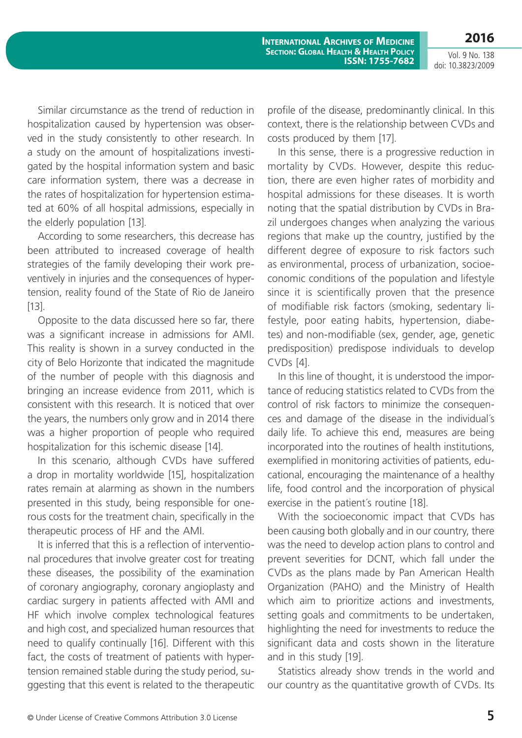Vol. 9 No. 138 doi: 10.3823/2009

**2016**

Similar circumstance as the trend of reduction in hospitalization caused by hypertension was observed in the study consistently to other research. In a study on the amount of hospitalizations investigated by the hospital information system and basic care information system, there was a decrease in the rates of hospitalization for hypertension estimated at 60% of all hospital admissions, especially in the elderly population [13].

According to some researchers, this decrease has been attributed to increased coverage of health strategies of the family developing their work preventively in injuries and the consequences of hypertension, reality found of the State of Rio de Janeiro [13].

Opposite to the data discussed here so far, there was a significant increase in admissions for AMI. This reality is shown in a survey conducted in the city of Belo Horizonte that indicated the magnitude of the number of people with this diagnosis and bringing an increase evidence from 2011, which is consistent with this research. It is noticed that over the years, the numbers only grow and in 2014 there was a higher proportion of people who required hospitalization for this ischemic disease [14].

In this scenario, although CVDs have suffered a drop in mortality worldwide [15], hospitalization rates remain at alarming as shown in the numbers presented in this study, being responsible for onerous costs for the treatment chain, specifically in the therapeutic process of HF and the AMI.

It is inferred that this is a reflection of interventional procedures that involve greater cost for treating these diseases, the possibility of the examination of coronary angiography, coronary angioplasty and cardiac surgery in patients affected with AMI and HF which involve complex technological features and high cost, and specialized human resources that need to qualify continually [16]. Different with this fact, the costs of treatment of patients with hypertension remained stable during the study period, suggesting that this event is related to the therapeutic profile of the disease, predominantly clinical. In this context, there is the relationship between CVDs and costs produced by them [17].

In this sense, there is a progressive reduction in mortality by CVDs. However, despite this reduction, there are even higher rates of morbidity and hospital admissions for these diseases. It is worth noting that the spatial distribution by CVDs in Brazil undergoes changes when analyzing the various regions that make up the country, justified by the different degree of exposure to risk factors such as environmental, process of urbanization, socioeconomic conditions of the population and lifestyle since it is scientifically proven that the presence of modifiable risk factors (smoking, sedentary lifestyle, poor eating habits, hypertension, diabetes) and non-modifiable (sex, gender, age, genetic predisposition) predispose individuals to develop CVDs [4].

In this line of thought, it is understood the importance of reducing statistics related to CVDs from the control of risk factors to minimize the consequences and damage of the disease in the individual´s daily life. To achieve this end, measures are being incorporated into the routines of health institutions, exemplified in monitoring activities of patients, educational, encouraging the maintenance of a healthy life, food control and the incorporation of physical exercise in the patient´s routine [18].

With the socioeconomic impact that CVDs has been causing both globally and in our country, there was the need to develop action plans to control and prevent severities for DCNT, which fall under the CVDs as the plans made by Pan American Health Organization (PAHO) and the Ministry of Health which aim to prioritize actions and investments, setting goals and commitments to be undertaken, highlighting the need for investments to reduce the significant data and costs shown in the literature and in this study [19].

Statistics already show trends in the world and our country as the quantitative growth of CVDs. Its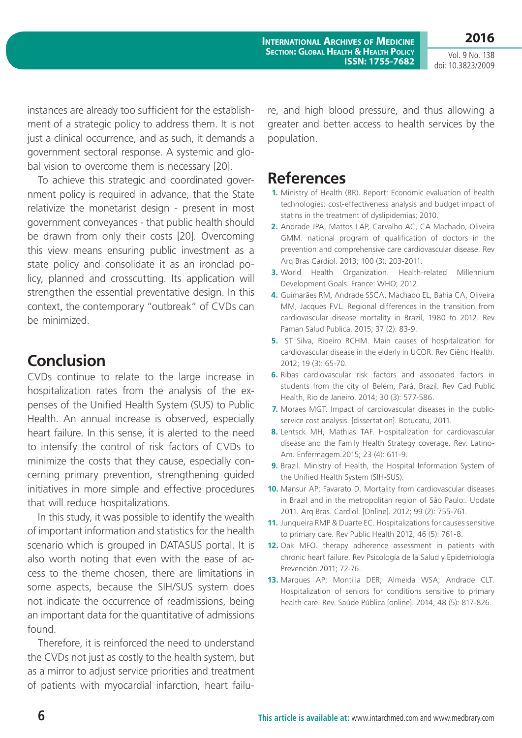**2016**

Vol. 9 No. 138 doi: 10.3823/2009

instances are already too sufficient for the establishment of a strategic policy to address them. It is not just a clinical occurrence, and as such, it demands a government sectoral response. A systemic and global vision to overcome them is necessary [20].

To achieve this strategic and coordinated government policy is required in advance, that the State relativize the monetarist design - present in most government conveyances - that public health should be drawn from only their costs [20]. Overcoming this view means ensuring public investment as a state policy and consolidate it as an ironclad policy, planned and crosscutting. Its application will strengthen the essential preventative design. In this context, the contemporary "outbreak" of CVDs can be minimized.

## **Conclusion**

CVDs continue to relate to the large increase in hospitalization rates from the analysis of the expenses of the Unified Health System (SUS) to Public Health. An annual increase is observed, especially heart failure. In this sense, it is alerted to the need to intensify the control of risk factors of CVDs to minimize the costs that they cause, especially concerning primary prevention, strengthening guided initiatives in more simple and effective procedures that will reduce hospitalizations.

In this study, it was possible to identify the wealth of important information and statistics for the health scenario which is grouped in DATASUS portal. It is also worth noting that even with the ease of access to the theme chosen, there are limitations in some aspects, because the SIH/SUS system does not indicate the occurrence of readmissions, being an important data for the quantitative of admissions found.

Therefore, it is reinforced the need to understand the CVDs not just as costly to the health system, but as a mirror to adjust service priorities and treatment of patients with myocardial infarction, heart failure, and high blood pressure, and thus allowing a greater and better access to health services by the population.

## **References**

- **1.** Ministry of Health (BR). Report: Economic evaluation of health technologies: cost-effectiveness analysis and budget impact of statins in the treatment of dyslipidemias; 2010.
- **2.** Andrade JPA, Mattos LAP, Carvalho AC, CA Machado, Oliveira GMM. national program of qualification of doctors in the prevention and comprehensive care cardiovascular disease. Rev Arq Bras Cardiol. 2013; 100 (3): 203-2011.
- **3.** World Health Organization. Health-related Millennium Development Goals. France: WHO; 2012.
- **4.** Guimarães RM, Andrade SSCA, Machado EL, Bahia CA, Oliveira MM, Jacques FVL. Regional differences in the transition from cardiovascular disease mortality in Brazil, 1980 to 2012. Rev Paman Salud Publica. 2015; 37 (2): 83-9.
- **5.** ST Silva, Ribeiro RCHM. Main causes of hospitalization for cardiovascular disease in the elderly in UCOR. Rev Ciênc Health. 2012; 19 (3): 65-70.
- **6.** Ribas cardiovascular risk factors and associated factors in students from the city of Belém, Pará, Brazil. Rev Cad Public Health, Rio de Janeiro. 2014; 30 (3): 577-586.
- **7.** Moraes MGT. Impact of cardiovascular diseases in the publicservice cost analysis. [dissertation]. Botucatu, 2011.
- **8.** Lentsck MH, Mathias TAF. Hospitalization for cardiovascular disease and the Family Health Strategy coverage. Rev. Latino-Am. Enfermagem.2015; 23 (4): 611-9.
- **9.** Brazil. Ministry of Health, the Hospital Information System of the Unified Health System (SIH-SUS).
- **10.** Mansur AP; Favarato D. Mortality from cardiovascular diseases in Brazil and in the metropolitan region of São Paulo:. Update 2011. Arq Bras. Cardiol. [Online]. 2012; 99 (2): 755-761.
- **11.** Junqueira RMP & Duarte EC. Hospitalizations for causes sensitive to primary care. Rev Public Health 2012; 46 (5): 761-8.
- **12.** Oak MFO. therapy adherence assessment in patients with chronic heart failure. Rev Psicología de la Salud y Epidemiología Prevención.2011; 72-76.
- **13.** Marques AP; Montilla DER; Almeida WSA; Andrade CLT. Hospitalization of seniors for conditions sensitive to primary health care. Rev. Saúde Pública [online]. 2014, 48 (5): 817-826.